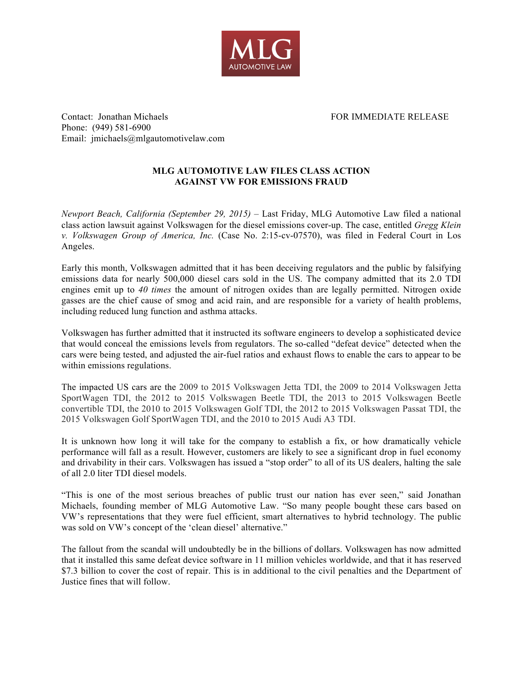

Contact: Jonathan Michaels FOR IMMEDIATE RELEASE Phone: (949) 581-6900 Email: jmichaels@mlgautomotivelaw.com

## **MLG AUTOMOTIVE LAW FILES CLASS ACTION AGAINST VW FOR EMISSIONS FRAUD**

*Newport Beach, California (September 29, 2015)* – Last Friday, MLG Automotive Law filed a national class action lawsuit against Volkswagen for the diesel emissions cover-up. The case, entitled *Gregg Klein v. Volkswagen Group of America, Inc.* (Case No. 2:15-cv-07570), was filed in Federal Court in Los Angeles.

Early this month, Volkswagen admitted that it has been deceiving regulators and the public by falsifying emissions data for nearly 500,000 diesel cars sold in the US. The company admitted that its 2.0 TDI engines emit up to *40 times* the amount of nitrogen oxides than are legally permitted. Nitrogen oxide gasses are the chief cause of smog and acid rain, and are responsible for a variety of health problems, including reduced lung function and asthma attacks.

Volkswagen has further admitted that it instructed its software engineers to develop a sophisticated device that would conceal the emissions levels from regulators. The so-called "defeat device" detected when the cars were being tested, and adjusted the air-fuel ratios and exhaust flows to enable the cars to appear to be within emissions regulations.

The impacted US cars are the 2009 to 2015 Volkswagen Jetta TDI, the 2009 to 2014 Volkswagen Jetta SportWagen TDI, the 2012 to 2015 Volkswagen Beetle TDI, the 2013 to 2015 Volkswagen Beetle convertible TDI, the 2010 to 2015 Volkswagen Golf TDI, the 2012 to 2015 Volkswagen Passat TDI, the 2015 Volkswagen Golf SportWagen TDI, and the 2010 to 2015 Audi A3 TDI.

It is unknown how long it will take for the company to establish a fix, or how dramatically vehicle performance will fall as a result. However, customers are likely to see a significant drop in fuel economy and drivability in their cars. Volkswagen has issued a "stop order" to all of its US dealers, halting the sale of all 2.0 liter TDI diesel models.

"This is one of the most serious breaches of public trust our nation has ever seen," said Jonathan Michaels, founding member of MLG Automotive Law. "So many people bought these cars based on VW's representations that they were fuel efficient, smart alternatives to hybrid technology. The public was sold on VW's concept of the 'clean diesel' alternative."

The fallout from the scandal will undoubtedly be in the billions of dollars. Volkswagen has now admitted that it installed this same defeat device software in 11 million vehicles worldwide, and that it has reserved \$7.3 billion to cover the cost of repair. This is in additional to the civil penalties and the Department of Justice fines that will follow.